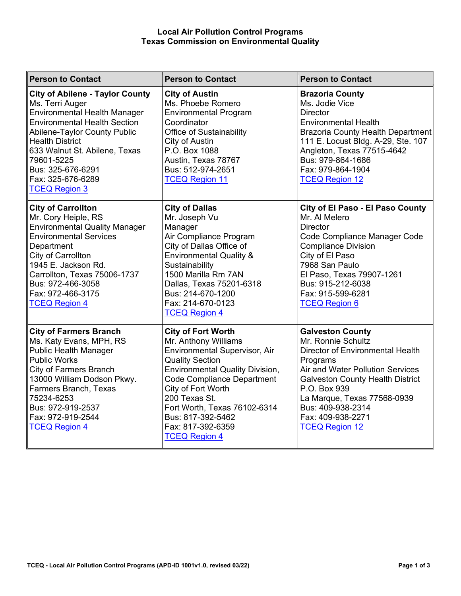## **Local Air Pollution Control Programs Texas Commission on Environmental Quality**

| <b>Person to Contact</b>                                                                                                                                                                                                                                                                                                  | <b>Person to Contact</b>                                                                                                                                                                                                                                                                                                             | <b>Person to Contact</b>                                                                                                                                                                                                                                                                       |
|---------------------------------------------------------------------------------------------------------------------------------------------------------------------------------------------------------------------------------------------------------------------------------------------------------------------------|--------------------------------------------------------------------------------------------------------------------------------------------------------------------------------------------------------------------------------------------------------------------------------------------------------------------------------------|------------------------------------------------------------------------------------------------------------------------------------------------------------------------------------------------------------------------------------------------------------------------------------------------|
| <b>City of Abilene - Taylor County</b><br>Ms. Terri Auger<br><b>Environmental Health Manager</b><br><b>Environmental Health Section</b><br><b>Abilene-Taylor County Public</b><br><b>Health District</b><br>633 Walnut St. Abilene, Texas<br>79601-5225<br>Bus: 325-676-6291<br>Fax: 325-676-6289<br><b>TCEQ Region 3</b> | <b>City of Austin</b><br>Ms. Phoebe Romero<br><b>Environmental Program</b><br>Coordinator<br><b>Office of Sustainability</b><br>City of Austin<br>P.O. Box 1088<br>Austin, Texas 78767<br>Bus: 512-974-2651<br><b>TCEQ Region 11</b>                                                                                                 | <b>Brazoria County</b><br>Ms. Jodie Vice<br>Director<br><b>Environmental Health</b><br>Brazoria County Health Department<br>111 E. Locust Bldg. A-29, Ste. 107<br>Angleton, Texas 77515-4642<br>Bus: 979-864-1686<br>Fax: 979-864-1904<br><b>TCEQ Region 12</b>                                |
| <b>City of Carrollton</b><br>Mr. Cory Heiple, RS<br><b>Environmental Quality Manager</b><br><b>Environmental Services</b><br>Department<br>City of Carrollton<br>1945 E. Jackson Rd.<br>Carrollton, Texas 75006-1737<br>Bus: 972-466-3058<br>Fax: 972-466-3175<br><b>TCEQ Region 4</b>                                    | <b>City of Dallas</b><br>Mr. Joseph Vu<br>Manager<br>Air Compliance Program<br>City of Dallas Office of<br><b>Environmental Quality &amp;</b><br>Sustainability<br>1500 Marilla Rm 7AN<br>Dallas, Texas 75201-6318<br>Bus: 214-670-1200<br>Fax: 214-670-0123<br><b>TCEQ Region 4</b>                                                 | City of El Paso - El Paso County<br>Mr. Al Melero<br><b>Director</b><br>Code Compliance Manager Code<br><b>Compliance Division</b><br>City of El Paso<br>7968 San Paulo<br>El Paso, Texas 79907-1261<br>Bus: 915-212-6038<br>Fax: 915-599-6281<br><b>TCEQ Region 6</b>                         |
| <b>City of Farmers Branch</b><br>Ms. Katy Evans, MPH, RS<br><b>Public Health Manager</b><br><b>Public Works</b><br>City of Farmers Branch<br>13000 William Dodson Pkwy.<br>Farmers Branch, Texas<br>75234-6253<br>Bus: 972-919-2537<br>Fax: 972-919-2544<br><b>TCEQ Region 4</b>                                          | <b>City of Fort Worth</b><br>Mr. Anthony Williams<br>Environmental Supervisor, Air<br><b>Quality Section</b><br><b>Environmental Quality Division,</b><br><b>Code Compliance Department</b><br>City of Fort Worth<br>200 Texas St.<br>Fort Worth, Texas 76102-6314<br>Bus: 817-392-5462<br>Fax: 817-392-6359<br><b>TCEQ Region 4</b> | <b>Galveston County</b><br>Mr. Ronnie Schultz<br>Director of Environmental Health<br>Programs<br>Air and Water Pollution Services<br><b>Galveston County Health District</b><br>P.O. Box 939<br>La Marque, Texas 77568-0939<br>Bus: 409-938-2314<br>Fax: 409-938-2271<br><b>TCEQ Region 12</b> |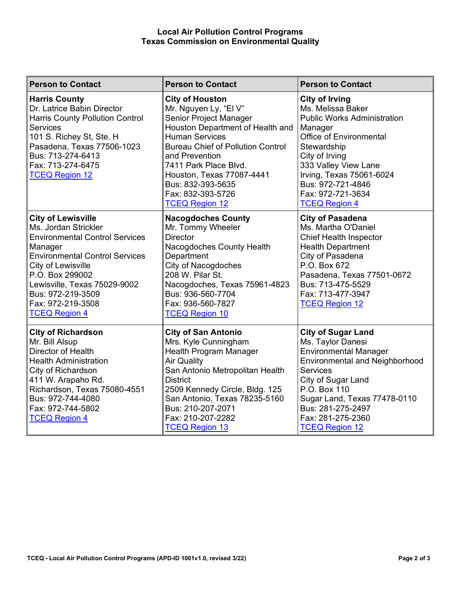## **Local Air Pollution Control Programs Texas Commission on Environmental Quality**

| <b>Person to Contact</b>                                                                                                                                                                                                                                                                  | <b>Person to Contact</b>                                                                                                                                                                                                                                                                                                      | <b>Person to Contact</b>                                                                                                                                                                                                                                                      |
|-------------------------------------------------------------------------------------------------------------------------------------------------------------------------------------------------------------------------------------------------------------------------------------------|-------------------------------------------------------------------------------------------------------------------------------------------------------------------------------------------------------------------------------------------------------------------------------------------------------------------------------|-------------------------------------------------------------------------------------------------------------------------------------------------------------------------------------------------------------------------------------------------------------------------------|
| <b>Harris County</b><br>Dr. Latrice Babin Director<br><b>Harris County Pollution Control</b><br><b>Services</b><br>101 S. Richey St, Ste. H<br>Pasadena, Texas 77506-1023<br>Bus: 713-274-6413<br>Fax: 713-274-6475<br><b>TCEQ Region 12</b>                                              | <b>City of Houston</b><br>Mr. Nguyen Ly, "El V"<br>Senior Project Manager<br>Houston Department of Health and<br><b>Human Services</b><br><b>Bureau Chief of Pollution Control</b><br>and Prevention<br>7411 Park Place Blvd.<br>Houston, Texas 77087-4441<br>Bus: 832-393-5635<br>Fax: 832-393-5726<br><b>TCEQ Region 12</b> | <b>City of Irving</b><br>Ms. Melissa Baker<br><b>Public Works Administration</b><br>Manager<br>Office of Environmental<br>Stewardship<br>City of Irving<br>333 Valley View Lane<br>Irving, Texas 75061-6024<br>Bus: 972-721-4846<br>Fax: 972-721-3634<br><b>TCEQ Region 4</b> |
| <b>City of Lewisville</b><br>Ms. Jordan Strickler<br><b>Environmental Control Services</b><br>Manager<br><b>Environmental Control Services</b><br>City of Lewisville<br>P.O. Box 299002<br>Lewisville, Texas 75029-9002<br>Bus: 972-219-3509<br>Fax: 972-219-3508<br><b>TCEQ Region 4</b> | <b>Nacogdoches County</b><br>Mr. Tommy Wheeler<br><b>Director</b><br>Nacogdoches County Health<br>Department<br><b>City of Nacogdoches</b><br>208 W. Pilar St.<br>Nacogdoches, Texas 75961-4823<br>Bus: 936-560-7704<br>Fax: 936-560-7827<br><b>TCEQ Region 10</b>                                                            | <b>City of Pasadena</b><br>Ms. Martha O'Daniel<br>Chief Health Inspector<br><b>Health Department</b><br>City of Pasadena<br>P.O. Box 672<br>Pasadena, Texas 77501-0672<br>Bus: 713-475-5529<br>Fax: 713-477-3947<br><b>TCEQ Region 12</b>                                     |
| <b>City of Richardson</b><br>Mr. Bill Alsup<br><b>Director of Health</b><br><b>Health Administration</b><br>City of Richardson<br>411 W. Arapaho Rd.<br>Richardson, Texas 75080-4551<br>Bus: 972-744-4080<br>Fax: 972-744-5802<br><b>TCEQ Region 4</b>                                    | <b>City of San Antonio</b><br>Mrs. Kyle Cunningham<br>Health Program Manager<br><b>Air Quality</b><br>San Antonio Metropolitan Health<br><b>District</b><br>2509 Kennedy Circle, Bldg. 125<br>San Antonio, Texas 78235-5160<br>Bus: 210-207-2071<br>Fax: 210-207-2282<br><b>TCEQ Region 13</b>                                | <b>City of Sugar Land</b><br>Ms. Taylor Danesi<br><b>Environmental Manager</b><br><b>Environmental and Neighborhood</b><br>Services<br>City of Sugar Land<br>P.O. Box 110<br>Sugar Land, Texas 77478-0110<br>Bus: 281-275-2497<br>Fax: 281-275-2360<br><b>TCEQ Region 12</b>  |